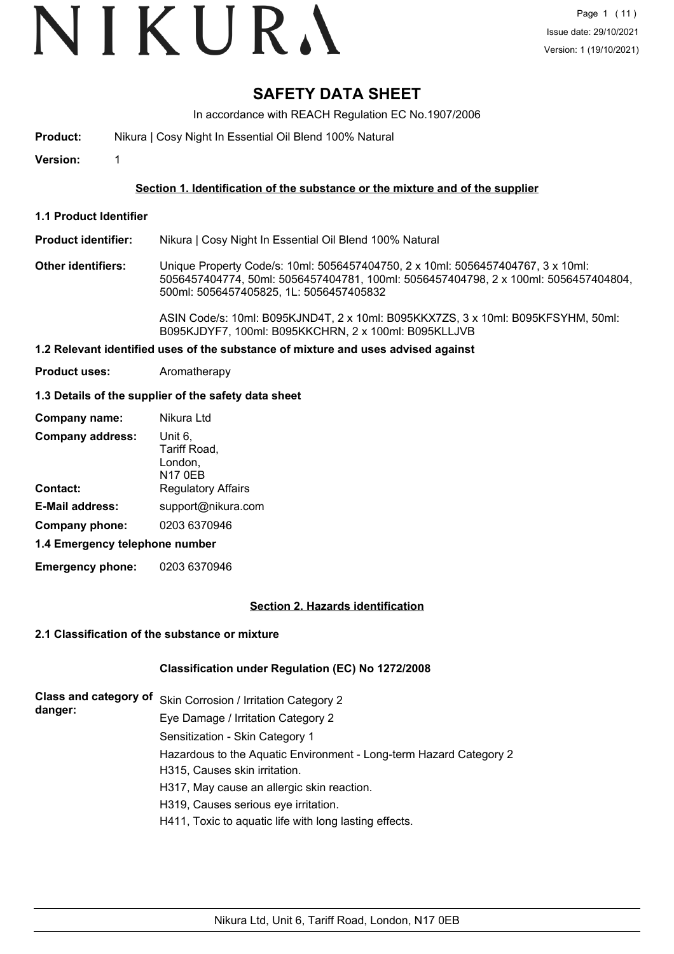# VIKURA

## **SAFETY DATA SHEET**

In accordance with REACH Regulation EC No.1907/2006

**Product:** Nikura | Cosy Night In Essential Oil Blend 100% Natural

**Version:** 1

#### **Section 1. Identification of the substance or the mixture and of the supplier**

**1.1 Product Identifier**

**Product identifier:** Nikura | Cosy Night In Essential Oil Blend 100% Natural

**Other identifiers:** Unique Property Code/s: 10ml: 5056457404750, 2 x 10ml: 5056457404767, 3 x 10ml: 5056457404774, 50ml: 5056457404781, 100ml: 5056457404798, 2 x 100ml: 5056457404804, 500ml: 5056457405825, 1L: 5056457405832

> ASIN Code/s: 10ml: B095KJND4T, 2 x 10ml: B095KKX7ZS, 3 x 10ml: B095KFSYHM, 50ml: B095KJDYF7, 100ml: B095KKCHRN, 2 x 100ml: B095KLLJVB

#### **1.2 Relevant identified uses of the substance of mixture and uses advised against**

**Product uses:** Aromatherapy

#### **1.3 Details of the supplier of the safety data sheet**

| Company name:                  | Nikura Ltd                                           |
|--------------------------------|------------------------------------------------------|
| <b>Company address:</b>        | Unit 6,<br>Tariff Road,<br>London,<br><b>N17 0EB</b> |
| <b>Contact:</b>                | <b>Regulatory Affairs</b>                            |
| <b>E-Mail address:</b>         | support@nikura.com                                   |
| Company phone:                 | 0203 6370946                                         |
| 1.4 Emergency telephone number |                                                      |

**Emergency phone:** 0203 6370946

#### **Section 2. Hazards identification**

#### **2.1 Classification of the substance or mixture**

#### **Classification under Regulation (EC) No 1272/2008**

|         | Class and category of Skin Corrosion / Irritation Category 2       |
|---------|--------------------------------------------------------------------|
| danger: | Eye Damage / Irritation Category 2                                 |
|         | Sensitization - Skin Category 1                                    |
|         | Hazardous to the Aquatic Environment - Long-term Hazard Category 2 |
|         | H315, Causes skin irritation.                                      |
|         | H317, May cause an allergic skin reaction.                         |
|         | H319, Causes serious eye irritation.                               |
|         | H411, Toxic to aquatic life with long lasting effects.             |
|         |                                                                    |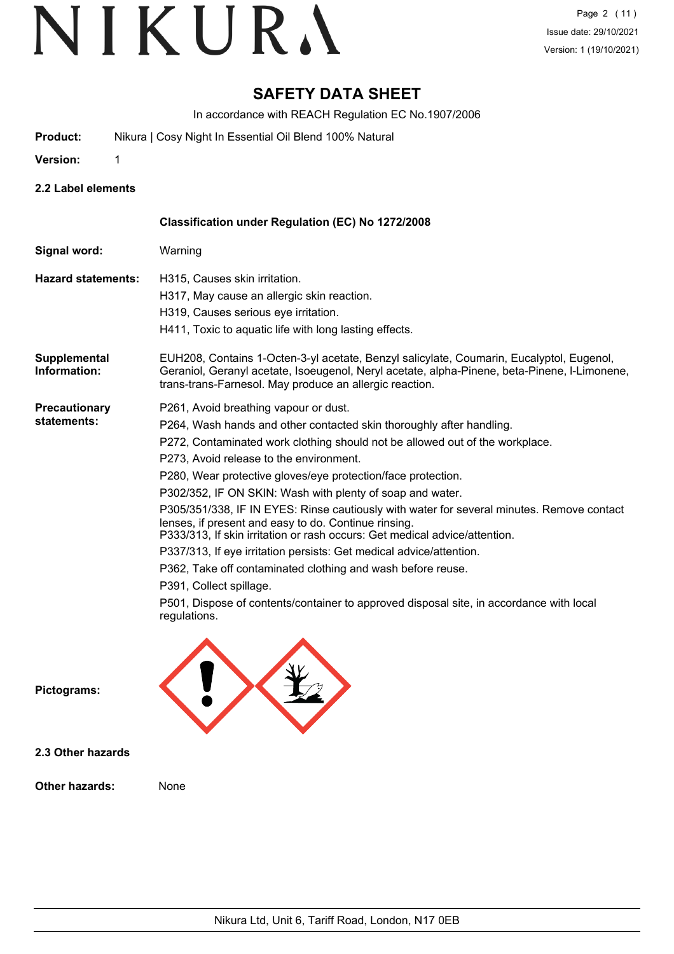## **SAFETY DATA SHEET**

In accordance with REACH Regulation EC No.1907/2006

- **Product:** Nikura | Cosy Night In Essential Oil Blend 100% Natural
- **Version:** 1

**2.2 Label elements**

|                                     | Classification under Regulation (EC) No 1272/2008                                                                                                                                                                                                                                                                                                                                                                                                                                                                                                                                                                                                                                                                                                                                                                                                                                    |
|-------------------------------------|--------------------------------------------------------------------------------------------------------------------------------------------------------------------------------------------------------------------------------------------------------------------------------------------------------------------------------------------------------------------------------------------------------------------------------------------------------------------------------------------------------------------------------------------------------------------------------------------------------------------------------------------------------------------------------------------------------------------------------------------------------------------------------------------------------------------------------------------------------------------------------------|
| Signal word:                        | Warning                                                                                                                                                                                                                                                                                                                                                                                                                                                                                                                                                                                                                                                                                                                                                                                                                                                                              |
| <b>Hazard statements:</b>           | H315, Causes skin irritation.<br>H317, May cause an allergic skin reaction.<br>H319, Causes serious eye irritation.<br>H411, Toxic to aquatic life with long lasting effects.                                                                                                                                                                                                                                                                                                                                                                                                                                                                                                                                                                                                                                                                                                        |
| Supplemental<br>Information:        | EUH208, Contains 1-Octen-3-yl acetate, Benzyl salicylate, Coumarin, Eucalyptol, Eugenol,<br>Geraniol, Geranyl acetate, Isoeugenol, Neryl acetate, alpha-Pinene, beta-Pinene, I-Limonene,<br>trans-trans-Farnesol. May produce an allergic reaction.                                                                                                                                                                                                                                                                                                                                                                                                                                                                                                                                                                                                                                  |
| <b>Precautionary</b><br>statements: | P261, Avoid breathing vapour or dust.<br>P264, Wash hands and other contacted skin thoroughly after handling.<br>P272, Contaminated work clothing should not be allowed out of the workplace.<br>P273. Avoid release to the environment.<br>P280, Wear protective gloves/eye protection/face protection.<br>P302/352, IF ON SKIN: Wash with plenty of soap and water.<br>P305/351/338, IF IN EYES: Rinse cautiously with water for several minutes. Remove contact<br>lenses, if present and easy to do. Continue rinsing.<br>P333/313, If skin irritation or rash occurs: Get medical advice/attention.<br>P337/313, If eye irritation persists: Get medical advice/attention.<br>P362, Take off contaminated clothing and wash before reuse.<br>P391, Collect spillage.<br>P501, Dispose of contents/container to approved disposal site, in accordance with local<br>regulations. |
| Pictograms:                         |                                                                                                                                                                                                                                                                                                                                                                                                                                                                                                                                                                                                                                                                                                                                                                                                                                                                                      |
| 2.3 Other hazards                   |                                                                                                                                                                                                                                                                                                                                                                                                                                                                                                                                                                                                                                                                                                                                                                                                                                                                                      |
| <b>Other hazards:</b>               | None                                                                                                                                                                                                                                                                                                                                                                                                                                                                                                                                                                                                                                                                                                                                                                                                                                                                                 |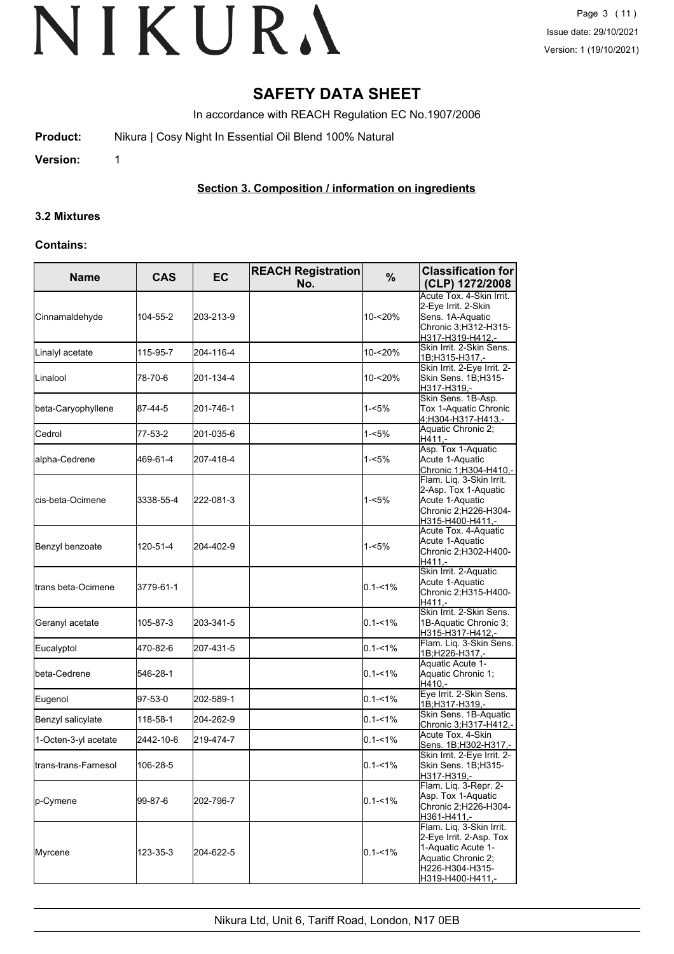## **SAFETY DATA SHEET**

In accordance with REACH Regulation EC No.1907/2006

**Product:** Nikura | Cosy Night In Essential Oil Blend 100% Natural

**Version:** 1

### **Section 3. Composition / information on ingredients**

#### **3.2 Mixtures**

#### **Contains:**

| <b>Name</b>           | <b>CAS</b> | <b>EC</b> | <b>REACH Registration</b><br>No. | $\%$        | <b>Classification for</b><br>(CLP) 1272/2008                                                                                           |  |
|-----------------------|------------|-----------|----------------------------------|-------------|----------------------------------------------------------------------------------------------------------------------------------------|--|
| Cinnamaldehyde        | 104-55-2   | 203-213-9 |                                  | 10-<20%     | Acute Tox. 4-Skin Irrit.<br>2-Eye Irrit. 2-Skin<br>Sens. 1A-Aquatic<br>Chronic 3;H312-H315-<br>H317-H319-H412,-                        |  |
| Linalyl acetate       | 115-95-7   | 204-116-4 |                                  | 10-<20%     | Skin Irrit. 2-Skin Sens.<br>1B;H315-H317,-                                                                                             |  |
| Linalool              | 78-70-6    | 201-134-4 |                                  | 10-<20%     | Skin Irrit. 2-Eye Irrit. 2-<br>Skin Sens. 1B;H315-<br>H317-H319.-                                                                      |  |
| beta-Caryophyllene    | 87-44-5    | 201-746-1 |                                  | 1-<5%       | Skin Sens. 1B-Asp.<br>Tox 1-Aquatic Chronic<br><u>4;H304-H317-H413,-</u>                                                               |  |
| Cedrol                | 77-53-2    | 201-035-6 |                                  | $1 - 5%$    | Aquatic Chronic 2;<br>H411.-                                                                                                           |  |
| alpha-Cedrene         | 469-61-4   | 207-418-4 |                                  | $1 - 5%$    | Asp. Tox 1-Aquatic<br>Acute 1-Aquatic<br>Chronic 1;H304-H410,-                                                                         |  |
| cis-beta-Ocimene      | 3338-55-4  | 222-081-3 |                                  | $1 - 5%$    | Flam. Liq. 3-Skin Irrit.<br>2-Asp. Tox 1-Aquatic<br>Acute 1-Aquatic<br>Chronic 2;H226-H304-<br>H315-H400-H411,-                        |  |
| Benzyl benzoate       | 120-51-4   | 204-402-9 |                                  | $1 - 5%$    | Acute Tox. 4-Aquatic<br>Acute 1-Aquatic<br>Chronic 2;H302-H400-<br>H411.-                                                              |  |
| ltrans beta-Ocimene   | 3779-61-1  |           |                                  | $0.1 - 1\%$ | Skin Irrit. 2-Aquatic<br>Acute 1-Aquatic<br>Chronic 2;H315-H400-<br>H411.-                                                             |  |
| Geranyl acetate       | 105-87-3   | 203-341-5 |                                  | $0.1 - 1\%$ | Skin Irrit. 2-Skin Sens.<br>1B-Aquatic Chronic 3;<br>H315-H317-H412,-                                                                  |  |
| Eucalyptol            | 470-82-6   | 207-431-5 |                                  | $0.1 - 1%$  | Flam. Liq. 3-Skin Sens.<br>1B;H226-H317,-                                                                                              |  |
| beta-Cedrene          | 546-28-1   |           |                                  | $0.1 - 1\%$ | Aquatic Acute 1-<br>Aquatic Chronic 1;<br>H410,-                                                                                       |  |
| Eugenol               | 97-53-0    | 202-589-1 |                                  | $0.1 - 1\%$ | Eye Irrit. 2-Skin Sens.<br>1B;H317-H319,-                                                                                              |  |
| Benzyl salicylate     | 118-58-1   | 204-262-9 |                                  | $0.1 - 1\%$ | Skin Sens. 1B-Aquatic<br>Chronic 3;H317-H412,-                                                                                         |  |
| 1-Octen-3-yl acetate  | 2442-10-6  | 219-474-7 |                                  | $0.1 - 1\%$ | Acute Tox. 4-Skin<br>Sens. 1B;H302-H317,-                                                                                              |  |
| Itrans-trans-Farnesol | 106-28-5   |           |                                  | $0.1 - 1%$  | Skin Irrit. 2-Eye Irrit. 2-<br>Skin Sens. 1B;H315-<br>H317-H319.-                                                                      |  |
| p-Cymene              | 99-87-6    | 202-796-7 |                                  | $0.1 - 1\%$ | Flam. Liq. 3-Repr. 2-<br>Asp. Tox 1-Aquatic<br>Chronic 2;H226-H304-<br>H361-H411.-                                                     |  |
| Myrcene               | 123-35-3   | 204-622-5 |                                  | $0.1 - 1%$  | Flam. Liq. 3-Skin Irrit.<br>2-Eye Irrit. 2-Asp. Tox<br>1-Aquatic Acute 1-<br>Aquatic Chronic 2;<br>H226-H304-H315-<br>H319-H400-H411,- |  |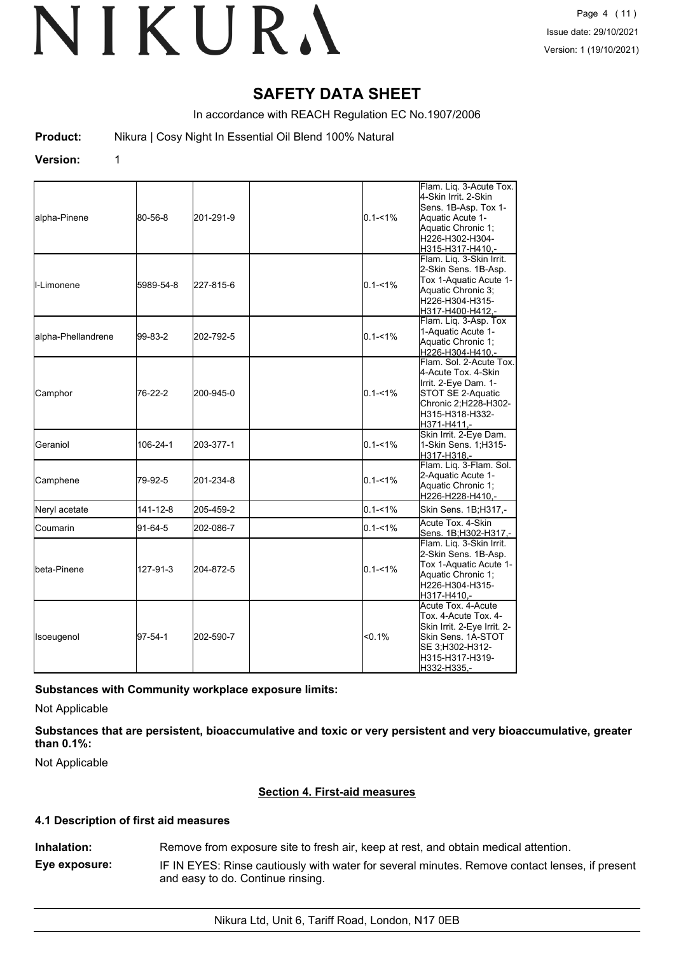## **SAFETY DATA SHEET**

In accordance with REACH Regulation EC No.1907/2006

**Product:** Nikura | Cosy Night In Essential Oil Blend 100% Natural

#### **Version:** 1

| alpha-Pinene         | 80-56-8   | 201-291-9 | $0.1 - 1\%$ | Flam. Liq. 3-Acute Tox.<br>4-Skin Irrit. 2-Skin<br>Sens. 1B-Asp. Tox 1-<br>Aquatic Acute 1-<br>Aquatic Chronic 1;<br>H226-H302-H304-<br>H315-H317-H410.- |
|----------------------|-----------|-----------|-------------|----------------------------------------------------------------------------------------------------------------------------------------------------------|
| <b>I</b> I-Limonene  | 5989-54-8 | 227-815-6 | $0.1 - 1\%$ | Flam. Liq. 3-Skin Irrit.<br>2-Skin Sens. 1B-Asp.<br>Tox 1-Aquatic Acute 1-<br>Aquatic Chronic 3;<br>H226-H304-H315-<br>H317-H400-H412,-                  |
| alpha-Phellandrene   | 99-83-2   | 202-792-5 | $0.1 - 1\%$ | Flam. Liq. 3-Asp. Tox<br>1-Aquatic Acute 1-<br>Aquatic Chronic 1;<br>H226-H304-H410,-                                                                    |
| Camphor              | 76-22-2   | 200-945-0 | $0.1 - 1\%$ | Flam. Sol. 2-Acute Tox.<br>4-Acute Tox. 4-Skin<br>Irrit. 2-Eye Dam. 1-<br>STOT SE 2-Aquatic<br>Chronic 2;H228-H302-<br>H315-H318-H332-<br>H371-H411,-    |
| <b>Geraniol</b>      | 106-24-1  | 203-377-1 | $0.1 - 1\%$ | Skin Irrit. 2-Eye Dam.<br>1-Skin Sens. 1; H315-<br>H317-H318.-                                                                                           |
| Camphene             | 79-92-5   | 201-234-8 | $0.1 - 1\%$ | Flam. Liq. 3-Flam. Sol.<br>2-Aquatic Acute 1-<br>Aquatic Chronic 1;<br>H226-H228-H410,-                                                                  |
| Neryl acetate        | 141-12-8  | 205-459-2 | $0.1 - 1\%$ | Skin Sens. 1B;H317,-                                                                                                                                     |
| Coumarin             | 91-64-5   | 202-086-7 | $0.1 - 1\%$ | Acute Tox. 4-Skin<br>Sens. 1B;H302-H317,-                                                                                                                |
| <b>I</b> beta-Pinene | 127-91-3  | 204-872-5 | $0.1 - 1\%$ | Flam. Liq. 3-Skin Irrit.<br>2-Skin Sens. 1B-Asp.<br>Tox 1-Aquatic Acute 1-<br>Aquatic Chronic 1;<br>H226-H304-H315-<br>H317-H410,-                       |
| Isoeugenol           | 97-54-1   | 202-590-7 | <0.1%       | Acute Tox. 4-Acute<br>Tox. 4-Acute Tox. 4-<br>Skin Irrit. 2-Eye Irrit. 2-<br>Skin Sens. 1A-STOT<br>SE 3;H302-H312-<br>H315-H317-H319-<br>H332-H335,-     |

#### **Substances with Community workplace exposure limits:**

Not Applicable

**Substances that are persistent, bioaccumulative and toxic or very persistent and very bioaccumulative, greater than 0.1%:**

Not Applicable

#### **Section 4. First-aid measures**

#### **4.1 Description of first aid measures**

**Inhalation:** Remove from exposure site to fresh air, keep at rest, and obtain medical attention. **Eye exposure:** IF IN EYES: Rinse cautiously with water for several minutes. Remove contact lenses, if present and easy to do. Continue rinsing.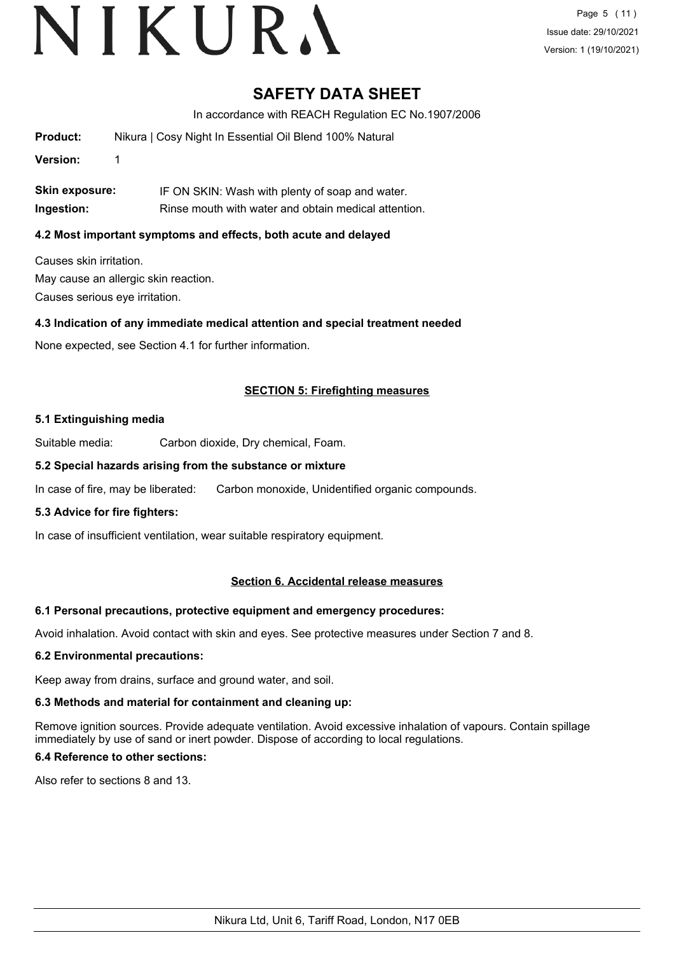# VIKURA

### **SAFETY DATA SHEET**

In accordance with REACH Regulation EC No.1907/2006

| Product: | Nikura   Cosy Night In Essential Oil Blend 100% Natural |  |
|----------|---------------------------------------------------------|--|
| Version: |                                                         |  |

**Skin exposure:** IF ON SKIN: Wash with plenty of soap and water. **Ingestion:** Rinse mouth with water and obtain medical attention.

### **4.2 Most important symptoms and effects, both acute and delayed**

Causes skin irritation. May cause an allergic skin reaction. Causes serious eye irritation.

#### **4.3 Indication of any immediate medical attention and special treatment needed**

None expected, see Section 4.1 for further information.

### **SECTION 5: Firefighting measures**

#### **5.1 Extinguishing media**

Suitable media: Carbon dioxide, Dry chemical, Foam.

#### **5.2 Special hazards arising from the substance or mixture**

In case of fire, may be liberated: Carbon monoxide, Unidentified organic compounds.

#### **5.3 Advice for fire fighters:**

In case of insufficient ventilation, wear suitable respiratory equipment.

#### **Section 6. Accidental release measures**

#### **6.1 Personal precautions, protective equipment and emergency procedures:**

Avoid inhalation. Avoid contact with skin and eyes. See protective measures under Section 7 and 8.

#### **6.2 Environmental precautions:**

Keep away from drains, surface and ground water, and soil.

#### **6.3 Methods and material for containment and cleaning up:**

Remove ignition sources. Provide adequate ventilation. Avoid excessive inhalation of vapours. Contain spillage immediately by use of sand or inert powder. Dispose of according to local regulations.

#### **6.4 Reference to other sections:**

Also refer to sections 8 and 13.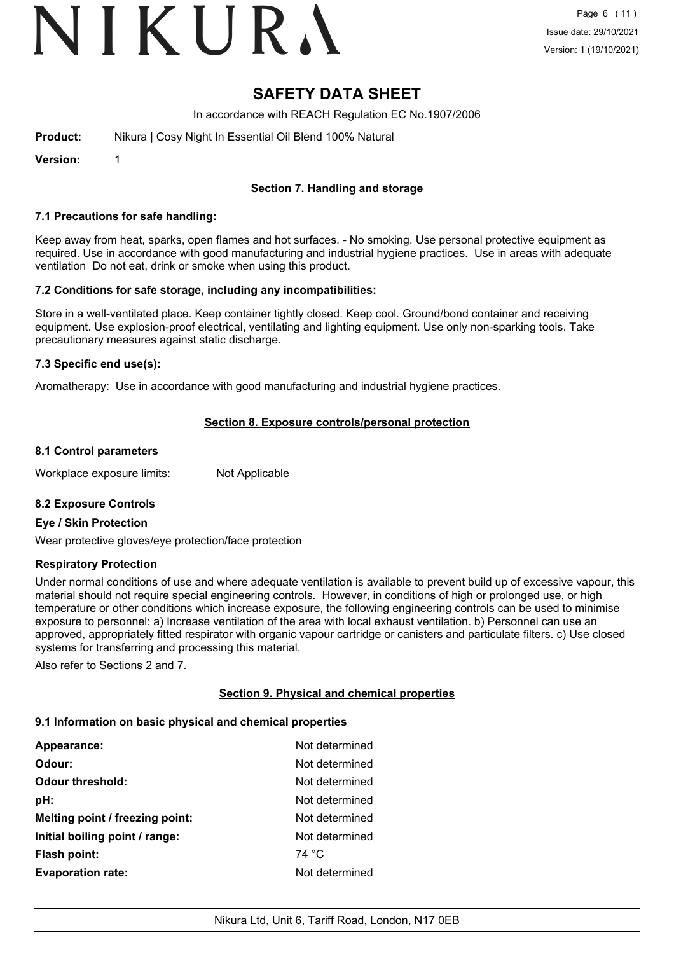# VIKURA

## **SAFETY DATA SHEET**

In accordance with REACH Regulation EC No.1907/2006

| Nikura   Cosy Night In Essential Oil Blend 100% Natural<br>Product: |  |
|---------------------------------------------------------------------|--|
|---------------------------------------------------------------------|--|

**Version:** 1

### **Section 7. Handling and storage**

#### **7.1 Precautions for safe handling:**

Keep away from heat, sparks, open flames and hot surfaces. - No smoking. Use personal protective equipment as required. Use in accordance with good manufacturing and industrial hygiene practices. Use in areas with adequate ventilation Do not eat, drink or smoke when using this product.

#### **7.2 Conditions for safe storage, including any incompatibilities:**

Store in a well-ventilated place. Keep container tightly closed. Keep cool. Ground/bond container and receiving equipment. Use explosion-proof electrical, ventilating and lighting equipment. Use only non-sparking tools. Take precautionary measures against static discharge.

#### **7.3 Specific end use(s):**

Aromatherapy: Use in accordance with good manufacturing and industrial hygiene practices.

#### **Section 8. Exposure controls/personal protection**

#### **8.1 Control parameters**

Workplace exposure limits: Not Applicable

#### **8.2 Exposure Controls**

#### **Eye / Skin Protection**

Wear protective gloves/eye protection/face protection

#### **Respiratory Protection**

Under normal conditions of use and where adequate ventilation is available to prevent build up of excessive vapour, this material should not require special engineering controls. However, in conditions of high or prolonged use, or high temperature or other conditions which increase exposure, the following engineering controls can be used to minimise exposure to personnel: a) Increase ventilation of the area with local exhaust ventilation. b) Personnel can use an approved, appropriately fitted respirator with organic vapour cartridge or canisters and particulate filters. c) Use closed systems for transferring and processing this material.

Also refer to Sections 2 and 7.

#### **Section 9. Physical and chemical properties**

#### **9.1 Information on basic physical and chemical properties**

| Appearance:                     | Not determined |
|---------------------------------|----------------|
| Odour:                          | Not determined |
| <b>Odour threshold:</b>         | Not determined |
| pH:                             | Not determined |
| Melting point / freezing point: | Not determined |
| Initial boiling point / range:  | Not determined |
| <b>Flash point:</b>             | 74 °C          |
| <b>Evaporation rate:</b>        | Not determined |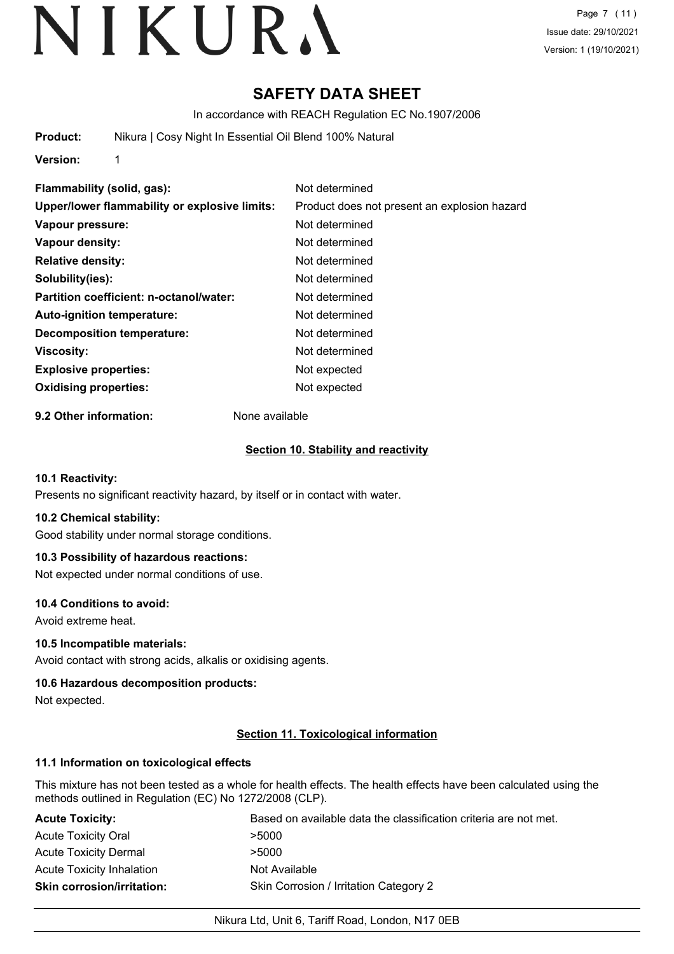## **SAFETY DATA SHEET**

In accordance with REACH Regulation EC No.1907/2006

**Product:** Nikura | Cosy Night In Essential Oil Blend 100% Natural

**Version:** 1

**Flammability (solid, gas):** Not determined **Upper/lower flammability or explosive limits:** Product does not present an explosion hazard **Vapour pressure:** Not determined **Vapour density:** Not determined **Relative density:** Not determined **Solubility(ies):** Not determined **Partition coefficient: n-octanol/water:** Not determined **Auto-ignition temperature:** Not determined **Decomposition temperature:** Not determined **Viscosity:** Not determined **Explosive properties:** Not expected **Oxidising properties:** Not expected

**9.2 Other information:** None available

### **Section 10. Stability and reactivity**

#### **10.1 Reactivity:**

Presents no significant reactivity hazard, by itself or in contact with water.

#### **10.2 Chemical stability:**

Good stability under normal storage conditions.

### **10.3 Possibility of hazardous reactions:**

Not expected under normal conditions of use.

#### **10.4 Conditions to avoid:**

Avoid extreme heat.

#### **10.5 Incompatible materials:**

Avoid contact with strong acids, alkalis or oxidising agents.

#### **10.6 Hazardous decomposition products:**

Not expected.

#### **Section 11. Toxicological information**

#### **11.1 Information on toxicological effects**

This mixture has not been tested as a whole for health effects. The health effects have been calculated using the methods outlined in Regulation (EC) No 1272/2008 (CLP).

| <b>Acute Toxicity:</b>            | Based on available data the classification criteria are not met. |
|-----------------------------------|------------------------------------------------------------------|
| <b>Acute Toxicity Oral</b>        | >5000                                                            |
| <b>Acute Toxicity Dermal</b>      | >5000                                                            |
| <b>Acute Toxicity Inhalation</b>  | Not Available                                                    |
| <b>Skin corrosion/irritation:</b> | Skin Corrosion / Irritation Category 2                           |

#### Nikura Ltd, Unit 6, Tariff Road, London, N17 0EB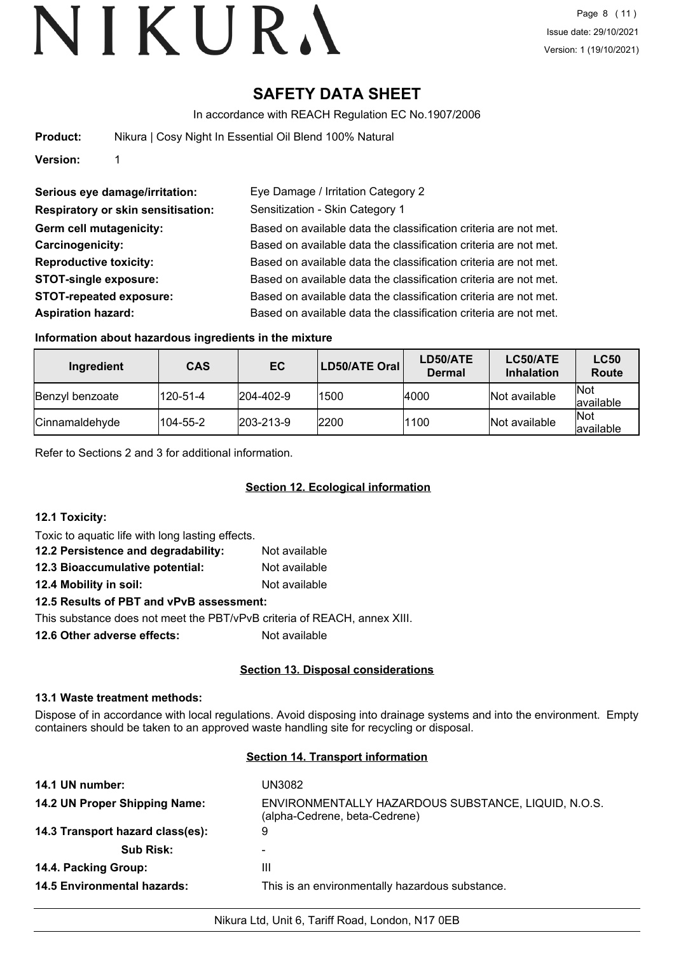## **SAFETY DATA SHEET**

In accordance with REACH Regulation EC No.1907/2006

| Product: | Nikura   Cosy Night In Essential Oil Blend 100% Natural |
|----------|---------------------------------------------------------|
|          |                                                         |

**Version:** 1

| Serious eye damage/irritation:            | Eye Damage / Irritation Category 2                               |
|-------------------------------------------|------------------------------------------------------------------|
| <b>Respiratory or skin sensitisation:</b> | Sensitization - Skin Category 1                                  |
| Germ cell mutagenicity:                   | Based on available data the classification criteria are not met. |
| Carcinogenicity:                          | Based on available data the classification criteria are not met. |
| <b>Reproductive toxicity:</b>             | Based on available data the classification criteria are not met. |
| <b>STOT-single exposure:</b>              | Based on available data the classification criteria are not met. |
| <b>STOT-repeated exposure:</b>            | Based on available data the classification criteria are not met. |
| <b>Aspiration hazard:</b>                 | Based on available data the classification criteria are not met. |

#### **Information about hazardous ingredients in the mixture**

| Ingredient             | <b>CAS</b> | EC.               | LD50/ATE Oral | LD50/ATE<br><b>Dermal</b> | LC50/ATE<br><b>Inhalation</b> | <b>LC50</b><br>Route    |
|------------------------|------------|-------------------|---------------|---------------------------|-------------------------------|-------------------------|
| <b>Benzyl benzoate</b> | 120-51-4   | $ 204 - 402 - 9 $ | 1500          | 4000                      | Not available                 | <b>Not</b><br>available |
| Cinnamaldehyde         | 104-55-2   | $ 203 - 213 - 9 $ | 2200          | 1100                      | Not available                 | <b>Not</b><br>available |

Refer to Sections 2 and 3 for additional information.

### **Section 12. Ecological information**

| <b>12.1 Toxicity:</b>                            |               |
|--------------------------------------------------|---------------|
| Toxic to aquatic life with long lasting effects. |               |
| 12.2 Persistence and degradability:              | Not available |
| 12.3 Bioaccumulative potential:                  | Not available |
| 12.4 Mobility in soil:                           | Not available |

#### **12.5 Results of PBT and vPvB assessment:**

This substance does not meet the PBT/vPvB criteria of REACH, annex XIII.

**12.6 Other adverse effects:** Not available

### **Section 13. Disposal considerations**

#### **13.1 Waste treatment methods:**

Dispose of in accordance with local regulations. Avoid disposing into drainage systems and into the environment. Empty containers should be taken to an approved waste handling site for recycling or disposal.

#### **Section 14. Transport information**

| 14.1 UN number:                    | UN3082                                                                               |
|------------------------------------|--------------------------------------------------------------------------------------|
| 14.2 UN Proper Shipping Name:      | ENVIRONMENTALLY HAZARDOUS SUBSTANCE, LIQUID, N.O.S.<br>(alpha-Cedrene, beta-Cedrene) |
| 14.3 Transport hazard class(es):   | 9                                                                                    |
| <b>Sub Risk:</b>                   |                                                                                      |
| 14.4. Packing Group:               | Ш                                                                                    |
| <b>14.5 Environmental hazards:</b> | This is an environmentally hazardous substance.                                      |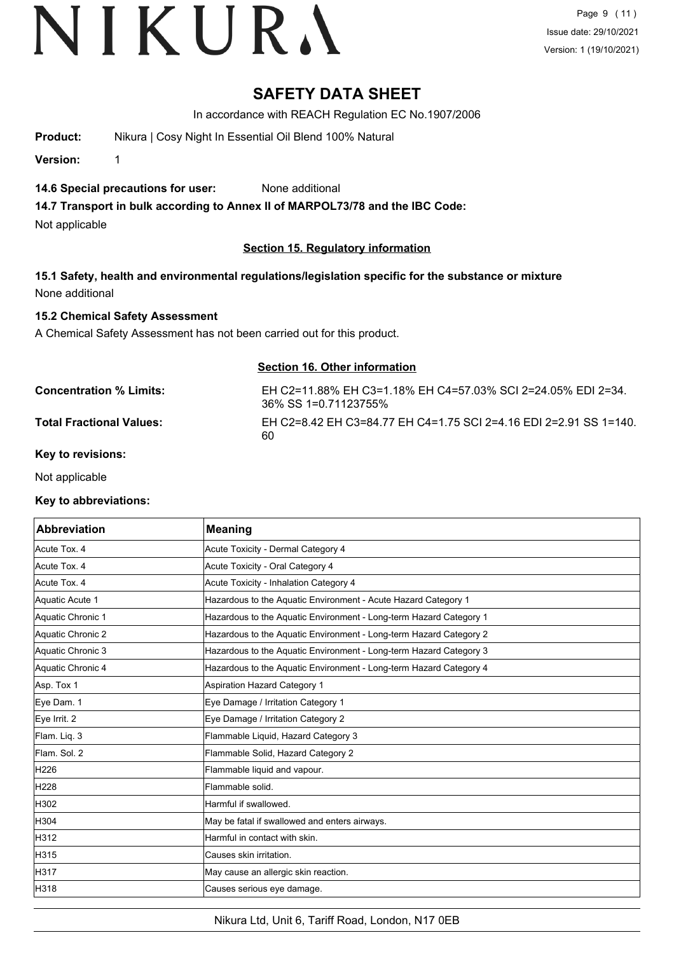Page 9 (11) Issue date: 29/10/2021 Version: 1 (19/10/2021)

## **SAFETY DATA SHEET**

In accordance with REACH Regulation EC No.1907/2006

**Product:** Nikura | Cosy Night In Essential Oil Blend 100% Natural

**Version:** 1

### **14.6 Special precautions for user:** None additional

**14.7 Transport in bulk according to Annex II of MARPOL73/78 and the IBC Code:**

Not applicable

### **Section 15. Regulatory information**

**15.1 Safety, health and environmental regulations/legislation specific for the substance or mixture** None additional

### **15.2 Chemical Safety Assessment**

A Chemical Safety Assessment has not been carried out for this product.

**Section 16. Other information**

| Concentration % Limits: |  |
|-------------------------|--|
|-------------------------|--|

**Concentration % Limits:** EH C2=11.88% EH C3=1.18% EH C4=57.03% SCI 2=24.05% EDI 2=34. 36% SS 1=0.71123755% **Total Fractional Values:** EH C2=8.42 EH C3=84.77 EH C4=1.75 SCI 2=4.16 EDI 2=2.91 SS 1=140. 60

**Key to revisions:**

Not applicable

#### **Key to abbreviations:**

| <b>Abbreviation</b> | <b>Meaning</b>                                                     |
|---------------------|--------------------------------------------------------------------|
| Acute Tox. 4        | Acute Toxicity - Dermal Category 4                                 |
| Acute Tox. 4        | Acute Toxicity - Oral Category 4                                   |
| Acute Tox. 4        | Acute Toxicity - Inhalation Category 4                             |
| Aquatic Acute 1     | Hazardous to the Aquatic Environment - Acute Hazard Category 1     |
| Aquatic Chronic 1   | Hazardous to the Aquatic Environment - Long-term Hazard Category 1 |
| Aquatic Chronic 2   | Hazardous to the Aquatic Environment - Long-term Hazard Category 2 |
| Aquatic Chronic 3   | Hazardous to the Aquatic Environment - Long-term Hazard Category 3 |
| Aquatic Chronic 4   | Hazardous to the Aquatic Environment - Long-term Hazard Category 4 |
| Asp. Tox 1          | <b>Aspiration Hazard Category 1</b>                                |
| Eye Dam. 1          | Eye Damage / Irritation Category 1                                 |
| Eye Irrit. 2        | Eye Damage / Irritation Category 2                                 |
| Flam. Liq. 3        | Flammable Liquid, Hazard Category 3                                |
| Flam, Sol. 2        | Flammable Solid, Hazard Category 2                                 |
| H226                | Flammable liquid and vapour.                                       |
| H228                | Flammable solid.                                                   |
| H302                | Harmful if swallowed.                                              |
| H304                | May be fatal if swallowed and enters airways.                      |
| H312                | Harmful in contact with skin.                                      |
| H315                | Causes skin irritation.                                            |
| H317                | May cause an allergic skin reaction.                               |
| H318                | Causes serious eye damage.                                         |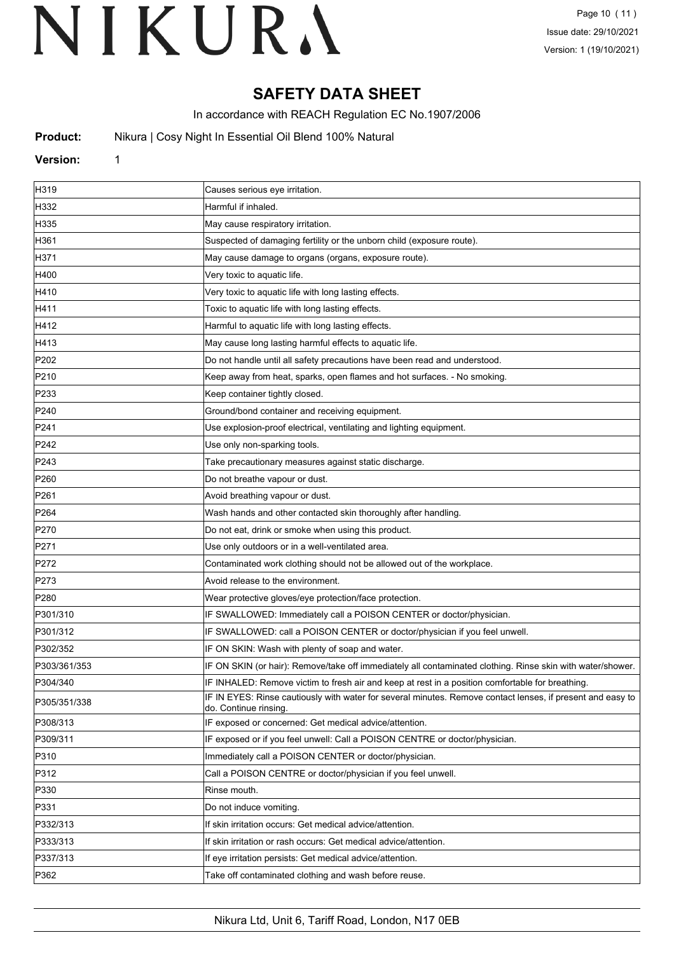## **SAFETY DATA SHEET**

In accordance with REACH Regulation EC No.1907/2006

**Product:** Nikura | Cosy Night In Essential Oil Blend 100% Natural

#### **Version:** 1

| H319             | Causes serious eye irritation.                                                                                                      |
|------------------|-------------------------------------------------------------------------------------------------------------------------------------|
| H332             | Harmful if inhaled.                                                                                                                 |
| H335             | May cause respiratory irritation.                                                                                                   |
| H361             | Suspected of damaging fertility or the unborn child (exposure route).                                                               |
| H371             | May cause damage to organs (organs, exposure route).                                                                                |
| H400             | Very toxic to aquatic life.                                                                                                         |
| H410             | Very toxic to aquatic life with long lasting effects.                                                                               |
| H411             | Toxic to aquatic life with long lasting effects.                                                                                    |
| H412             | Harmful to aquatic life with long lasting effects.                                                                                  |
| H413             | May cause long lasting harmful effects to aquatic life.                                                                             |
| P202             | Do not handle until all safety precautions have been read and understood.                                                           |
| P210             | Keep away from heat, sparks, open flames and hot surfaces. - No smoking.                                                            |
| P233             | Keep container tightly closed.                                                                                                      |
| P240             | Ground/bond container and receiving equipment.                                                                                      |
| P241             | Use explosion-proof electrical, ventilating and lighting equipment.                                                                 |
| P242             | Use only non-sparking tools.                                                                                                        |
| P243             | Take precautionary measures against static discharge.                                                                               |
| P <sub>260</sub> | Do not breathe vapour or dust.                                                                                                      |
| P261             | Avoid breathing vapour or dust.                                                                                                     |
| P <sub>264</sub> | Wash hands and other contacted skin thoroughly after handling.                                                                      |
| P270             | Do not eat, drink or smoke when using this product.                                                                                 |
| P271             | Use only outdoors or in a well-ventilated area.                                                                                     |
| P272             | Contaminated work clothing should not be allowed out of the workplace.                                                              |
| P273             | Avoid release to the environment.                                                                                                   |
| P <sub>280</sub> | Wear protective gloves/eye protection/face protection.                                                                              |
| P301/310         | IF SWALLOWED: Immediately call a POISON CENTER or doctor/physician.                                                                 |
| P301/312         | IF SWALLOWED: call a POISON CENTER or doctor/physician if you feel unwell.                                                          |
| P302/352         | IF ON SKIN: Wash with plenty of soap and water.                                                                                     |
| P303/361/353     | IF ON SKIN (or hair): Remove/take off immediately all contaminated clothing. Rinse skin with water/shower.                          |
| P304/340         | IF INHALED: Remove victim to fresh air and keep at rest in a position comfortable for breathing                                     |
| P305/351/338     | IF IN EYES: Rinse cautiously with water for several minutes. Remove contact lenses, if present and easy to<br>do. Continue rinsing. |
| P308/313         | IF exposed or concerned: Get medical advice/attention.                                                                              |
| P309/311         | IF exposed or if you feel unwell: Call a POISON CENTRE or doctor/physician.                                                         |
| P310             | Immediately call a POISON CENTER or doctor/physician.                                                                               |
| P312             | Call a POISON CENTRE or doctor/physician if you feel unwell.                                                                        |
| P330             | Rinse mouth.                                                                                                                        |
| P331             | Do not induce vomiting.                                                                                                             |
| P332/313         | If skin irritation occurs: Get medical advice/attention.                                                                            |
| P333/313         | If skin irritation or rash occurs: Get medical advice/attention.                                                                    |
| P337/313         | If eye irritation persists: Get medical advice/attention.                                                                           |
| P362             | Take off contaminated clothing and wash before reuse.                                                                               |